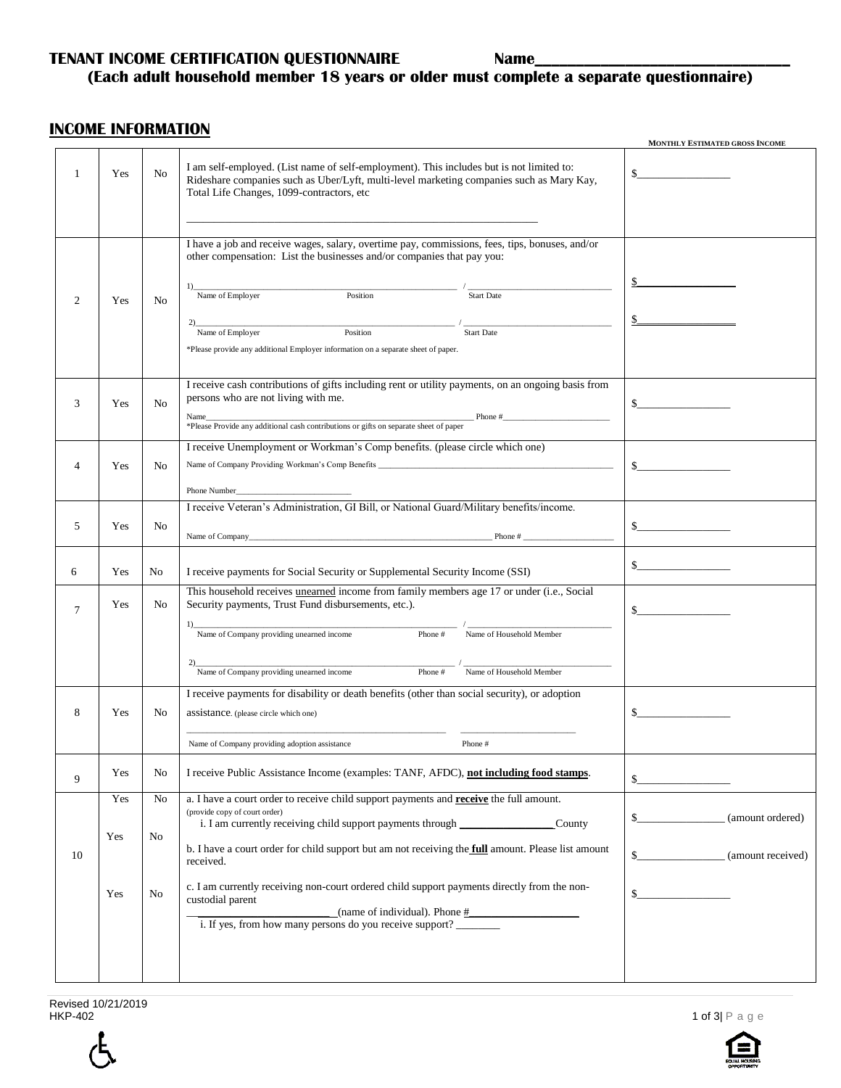### **TENANT INCOME CERTIFICATION QUESTIONNAIRE Name\_**

## **(Each adult household member 18 years or older must complete a separate questionnaire)**

#### **INCOME INFORMATION**

|        |                   |                        |                                                                                                                                                                                                                                                                                                                                                                                                                                                                                                                                                                                                                                                                                                                                                                                                   | MONTHLY ESTIMATED GROSS INCOME                                        |
|--------|-------------------|------------------------|---------------------------------------------------------------------------------------------------------------------------------------------------------------------------------------------------------------------------------------------------------------------------------------------------------------------------------------------------------------------------------------------------------------------------------------------------------------------------------------------------------------------------------------------------------------------------------------------------------------------------------------------------------------------------------------------------------------------------------------------------------------------------------------------------|-----------------------------------------------------------------------|
| 1      | Yes               | N <sub>0</sub>         | I am self-employed. (List name of self-employment). This includes but is not limited to:<br>Rideshare companies such as Uber/Lyft, multi-level marketing companies such as Mary Kay,<br>Total Life Changes, 1099-contractors, etc                                                                                                                                                                                                                                                                                                                                                                                                                                                                                                                                                                 |                                                                       |
| 2      | Yes               | No                     | I have a job and receive wages, salary, overtime pay, commissions, fees, tips, bonuses, and/or<br>other compensation: List the businesses and/or companies that pay you:<br>Position<br>Name of Employer<br>Start Date<br>Position<br>2)<br>Name of Employer<br><b>Start Date</b><br>*Please provide any additional Employer information on a separate sheet of paper.                                                                                                                                                                                                                                                                                                                                                                                                                            | \$_<br>$\frac{1}{2}$                                                  |
| 3      | Yes               | N <sub>o</sub>         | I receive cash contributions of gifts including rent or utility payments, on an ongoing basis from<br>persons who are not living with me.                                                                                                                                                                                                                                                                                                                                                                                                                                                                                                                                                                                                                                                         | $\sim$                                                                |
| 4      | Yes               | N <sub>o</sub>         | I receive Unemployment or Workman's Comp benefits. (please circle which one)                                                                                                                                                                                                                                                                                                                                                                                                                                                                                                                                                                                                                                                                                                                      | $\sim$                                                                |
| 5      | Yes               | N <sub>0</sub>         | I receive Veteran's Administration, GI Bill, or National Guard/Military benefits/income.<br>$\blacksquare$ Phone # $\blacksquare$                                                                                                                                                                                                                                                                                                                                                                                                                                                                                                                                                                                                                                                                 | $\sim$                                                                |
| 6      | Yes               | No                     | I receive payments for Social Security or Supplemental Security Income (SSI)                                                                                                                                                                                                                                                                                                                                                                                                                                                                                                                                                                                                                                                                                                                      | $\frac{1}{2}$                                                         |
| $\tau$ | Yes               | No                     | This household receives unearned income from family members age 17 or under (i.e., Social<br>Security payments, Trust Fund disbursements, etc.).<br>Name of Company providing unearned income<br>Name of Household Member<br>Phone #<br>$\begin{tabular}{l c c c c c} \hline \multicolumn{3}{c }{Name of Company providing un earned income} & \multicolumn{3}{c }{Phone & \multicolumn{3}{c }{H} \multicolumn{3}{c }{Name of Household Member} \\\hline \multicolumn{3}{c }{Name of Company providing un earned income} & \multicolumn{3}{c }{P} \multicolumn{3}{c }{H} \multicolumn{3}{c }{Name of Household Member} \\\hline \multicolumn{3}{c }{Name of Group and the program.} & \multicolumn{3}{c }{H} \multicolumn{3}{c }{H} \multicolumn{3}{c }{H} \multicolumn{3}{c }{H} \multicolumn{3$ | $\sim$                                                                |
| 8      | Yes               | No                     | I receive payments for disability or death benefits (other than social security), or adoption<br>assistance. (please circle which one)                                                                                                                                                                                                                                                                                                                                                                                                                                                                                                                                                                                                                                                            | \$                                                                    |
| 9      | Yes               | No                     | Name of Company providing adoption assistance<br>Phone #<br>I receive Public Assistance Income (examples: TANF, AFDC), not including food stamps.                                                                                                                                                                                                                                                                                                                                                                                                                                                                                                                                                                                                                                                 | \$                                                                    |
| 10     | Yes<br>Yes<br>Yes | No<br>No<br>${\rm No}$ | a. I have a court order to receive child support payments and <b>receive</b> the full amount.<br>(provide copy of court order)<br>i. I am currently receiving child support payments through _____________________<br>County<br>b. I have a court order for child support but am not receiving the full amount. Please list amount<br>received.<br>c. I am currently receiving non-court ordered child support payments directly from the non-<br>custodial parent<br>(name of individual). Phone #<br>i. If yes, from how many persons do you receive support?                                                                                                                                                                                                                                   | (amount ordered)<br>\$<br>\$<br>(amount received)<br>$\mathbb{S}_{-}$ |
|        |                   |                        |                                                                                                                                                                                                                                                                                                                                                                                                                                                                                                                                                                                                                                                                                                                                                                                                   |                                                                       |

Revised 10/21/2019<br>HKP-402



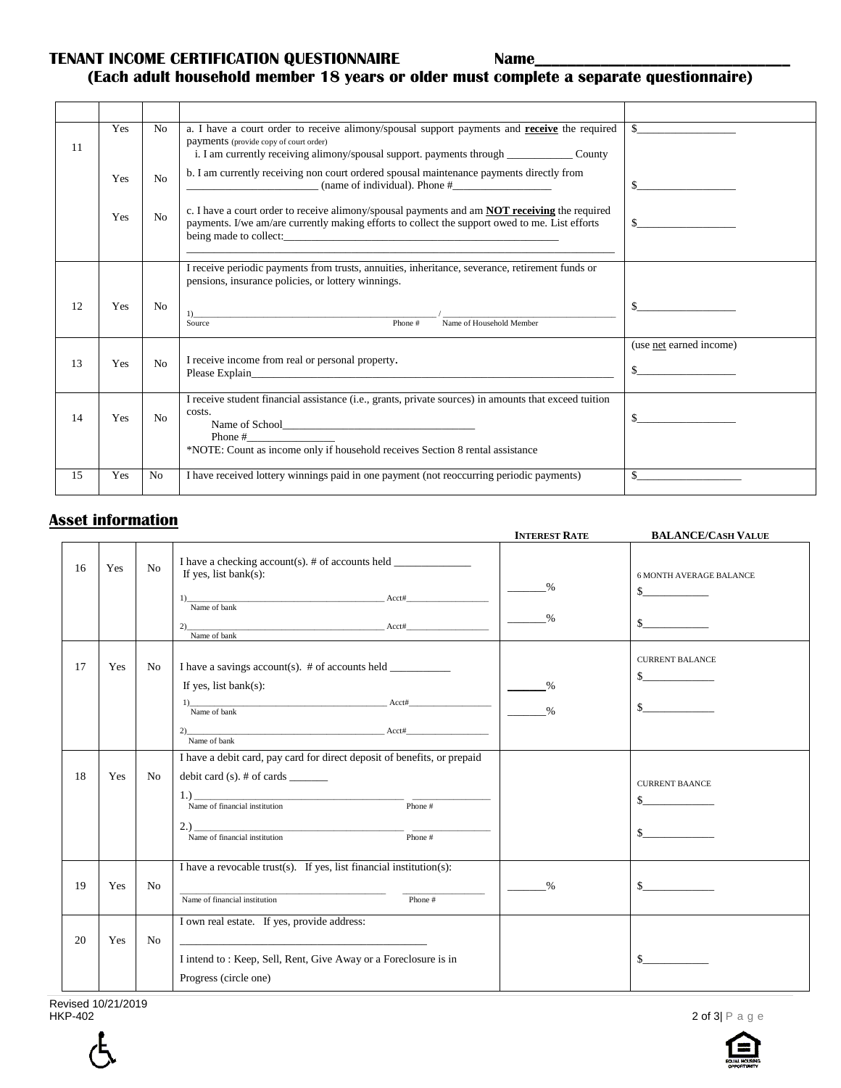**TENANT INCOME CERTIFICATION QUESTIONNAIRE Name\_** 

## **(Each adult household member 18 years or older must complete a separate questionnaire)**

|    | Yes | N <sub>o</sub> | a. I have a court order to receive alimony/spousal support payments and receive the required                                                                                                           |                         |
|----|-----|----------------|--------------------------------------------------------------------------------------------------------------------------------------------------------------------------------------------------------|-------------------------|
| 11 |     |                | payments (provide copy of court order)                                                                                                                                                                 |                         |
|    |     |                | b. I am currently receiving non court ordered spousal maintenance payments directly from                                                                                                               |                         |
|    | Yes | No             | (name of individual). Phone $#$<br><u> 1990 - Johann Barbara, martin a</u>                                                                                                                             |                         |
|    |     |                |                                                                                                                                                                                                        |                         |
|    | Yes | No             | c. I have a court order to receive alimony/spousal payments and am <b>NOT receiving</b> the required<br>payments. I/we am/are currently making efforts to collect the support owed to me. List efforts |                         |
|    |     |                |                                                                                                                                                                                                        |                         |
|    |     |                |                                                                                                                                                                                                        |                         |
|    |     |                | I receive periodic payments from trusts, annuities, inheritance, severance, retirement funds or                                                                                                        |                         |
|    |     |                | pensions, insurance policies, or lottery winnings.                                                                                                                                                     |                         |
| 12 | Yes | N <sub>0</sub> | $\overline{1}$                                                                                                                                                                                         | S.                      |
|    |     |                | Name of Household Member<br>Phone #<br>Source                                                                                                                                                          |                         |
|    |     |                |                                                                                                                                                                                                        | (use net earned income) |
| 13 | Yes | No             | I receive income from real or personal property.                                                                                                                                                       | \$                      |
|    |     |                |                                                                                                                                                                                                        |                         |
|    |     |                | I receive student financial assistance (i.e., grants, private sources) in amounts that exceed tuition                                                                                                  |                         |
| 14 | Yes | No             | costs.                                                                                                                                                                                                 |                         |
|    |     |                | Phone #                                                                                                                                                                                                |                         |
|    |     |                | *NOTE: Count as income only if household receives Section 8 rental assistance                                                                                                                          |                         |
| 15 | Yes | No             | I have received lottery winnings paid in one payment (not reoccurring periodic payments)                                                                                                               |                         |
|    |     |                |                                                                                                                                                                                                        |                         |

#### **Asset information**

 $\blacksquare$ 

|    |     |                |                                                                                                                                                                                                        | <b>INTEREST RATE</b>                    | <b>BALANCE/CASH VALUE</b>                                |
|----|-----|----------------|--------------------------------------------------------------------------------------------------------------------------------------------------------------------------------------------------------|-----------------------------------------|----------------------------------------------------------|
| 16 | Yes | No             | I have a checking account(s). # of accounts held ________________________________<br>If yes, list bank $(s)$ :<br>Name of bank $\overline{\phantom{a}}$<br>$2)$ Name of bank $\overline{\text{Acct#}}$ | %<br>$\%$                               | <b>6 MONTH AVERAGE BALANCE</b><br>$\sim$<br>$\mathbb{S}$ |
| 17 | Yes | No             | I have a savings account(s). $#$ of accounts held<br>If yes, list bank $(s)$ :                                                                                                                         | $\frac{0}{0}$<br>$\sim$ $\frac{\%}{\%}$ | <b>CURRENT BALANCE</b><br>$\sim$<br>$\sim$               |
| 18 | Yes | No             | $\frac{1}{2}$ Name of bank<br>I have a debit card, pay card for direct deposit of benefits, or prepaid<br>debit card $(s)$ . # of cards $\qquad \qquad$                                                |                                         |                                                          |
|    |     |                | $1.)$<br>Name of financial institution Phone #<br>Name of financial institution<br>Phone #                                                                                                             |                                         | <b>CURRENT BAANCE</b><br>$\sim$<br>$\sim$                |
| 19 | Yes | N <sub>0</sub> | I have a revocable trust(s). If yes, list financial institution(s):<br>Name of financial institution<br>Phone #                                                                                        | %                                       | $\mathbb{S}$                                             |
| 20 | Yes | N <sub>o</sub> | I own real estate. If yes, provide address:<br>I intend to: Keep, Sell, Rent, Give Away or a Foreclosure is in<br>Progress (circle one)                                                                |                                         | $\mathbb{S}$                                             |

Revised 10/21/2019<br>HKP-402